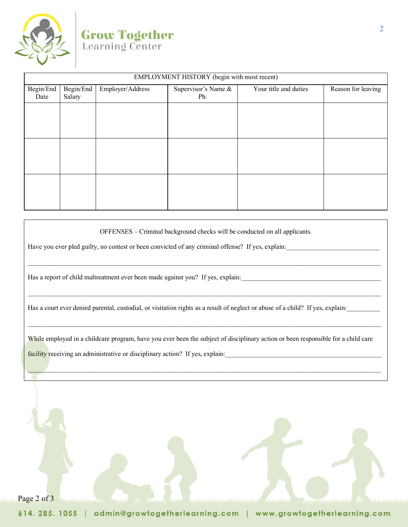| EMPLOYMENT HISTORY (begin with most recent) |  |  |  |  |  |  |
|---------------------------------------------|--|--|--|--|--|--|
| Reason for leaving                          |  |  |  |  |  |  |
|                                             |  |  |  |  |  |  |
|                                             |  |  |  |  |  |  |
|                                             |  |  |  |  |  |  |
|                                             |  |  |  |  |  |  |
|                                             |  |  |  |  |  |  |
|                                             |  |  |  |  |  |  |
|                                             |  |  |  |  |  |  |
|                                             |  |  |  |  |  |  |
|                                             |  |  |  |  |  |  |
|                                             |  |  |  |  |  |  |
|                                             |  |  |  |  |  |  |
|                                             |  |  |  |  |  |  |
|                                             |  |  |  |  |  |  |

OFFENSES – Criminal background checks will be conducted on all applicants.

\_\_\_\_\_\_\_\_\_\_\_\_\_\_\_\_\_\_\_\_\_\_\_\_\_\_\_\_\_\_\_\_\_\_\_\_\_\_\_\_\_\_\_\_\_\_\_\_\_\_\_\_\_\_\_\_\_\_\_\_\_\_\_\_\_\_\_\_\_\_\_\_\_\_\_\_\_\_\_\_\_\_\_\_\_\_\_\_\_\_\_\_\_\_\_\_\_\_\_\_\_\_\_\_\_\_

\_\_\_\_\_\_\_\_\_\_\_\_\_\_\_\_\_\_\_\_\_\_\_\_\_\_\_\_\_\_\_\_\_\_\_\_\_\_\_\_\_\_\_\_\_\_\_\_\_\_\_\_\_\_\_\_\_\_\_\_\_\_\_\_\_\_\_\_\_\_\_\_\_\_\_\_\_\_\_\_\_\_\_\_\_\_\_\_\_\_\_\_\_\_\_\_\_\_\_\_\_\_\_\_\_\_

\_\_\_\_\_\_\_\_\_\_\_\_\_\_\_\_\_\_\_\_\_\_\_\_\_\_\_\_\_\_\_\_\_\_\_\_\_\_\_\_\_\_\_\_\_\_\_\_\_\_\_\_\_\_\_\_\_\_\_\_\_\_\_\_\_\_\_\_\_\_\_\_\_\_\_\_\_\_\_\_\_\_\_\_\_\_\_\_\_\_\_\_\_\_\_\_\_\_\_\_\_\_\_\_\_\_

Have you ever pled guilty, no contest or been convicted of any criminal offense? If yes, explain:

Has a report of child maltreatment ever been made against you? If yes, explain:

Has a court ever denied parental, custodial, or visitation rights as a result of neglect or abuse of a child? If yes, explain:

While employed in a childcare program, have you ever been the subject of disciplinary action or been responsible for a child care facility receiving an administrative or disciplinary action? If yes, explain:\_\_\_\_\_\_\_\_\_\_\_\_\_\_\_\_\_\_\_\_\_\_\_\_\_\_\_\_\_\_\_\_\_\_\_\_\_\_\_\_\_\_\_\_\_\_\_

\_\_\_\_\_\_\_\_\_\_\_\_\_\_\_\_\_\_\_\_\_\_\_\_\_\_\_\_\_\_\_\_\_\_\_\_\_\_\_\_\_\_\_\_\_\_\_\_\_\_\_\_\_\_\_\_\_\_\_\_\_\_\_\_\_\_\_\_\_\_\_\_\_\_\_\_\_\_\_\_\_\_\_\_\_\_\_\_\_\_\_\_\_\_\_\_\_\_\_\_\_\_\_\_\_\_